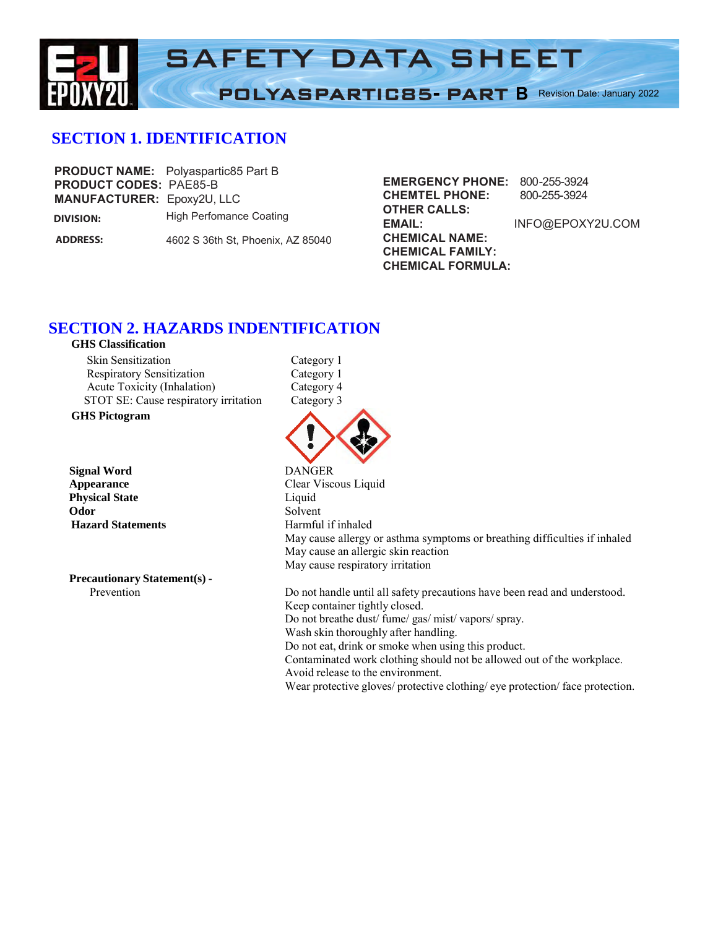

# **SECTION 1. IDENTIFICATION**

| <b>PRODUCT CODES: PAE85-B</b><br><b>MANUFACTURER: Epoxy2U, LLC</b> | <b>PRODUCT NAME:</b> Polyaspartic85 Part B |
|--------------------------------------------------------------------|--------------------------------------------|
| DIVISION:                                                          | High Perfomance Coating                    |
| <b>ADDRESS:</b>                                                    | 4602 S 36th St, Phoenix, AZ 85040          |

**MANUFACTURER:** Epoxy2U, LLC **CHEMTEL PHONE: OTHER CALLS: EMAIL: CHEMICAL NAME: CHEMICAL FAMILY: CHEMICAL FORMULA: EMERGENCY PHONE:** 800-255-3924 800-255-3924 INFO@EPOXY2U.COM

# **SECTION 2. HAZARDS INDENTIFICATION**

| <b>GHS Classification</b>             |
|---------------------------------------|
| <b>Skin Sensitization</b>             |
| <b>Respiratory Sensitization</b>      |
| Acute Toxicity (Inhalation)           |
| STOT SE: Cause respiratory irritation |
|                                       |

**GHS Pictogram**

**Signal** Word **Appearance Physical State Odor** Solvent **Hazard Statements** 

 **Precautionary Statement(s) -**

Category 1 Category 1 Category 4 Category 3



| <b>DANGER</b>                       |                                                                           |
|-------------------------------------|---------------------------------------------------------------------------|
| Clear Viscous Liquid                |                                                                           |
| Liquid                              |                                                                           |
| Solvent                             |                                                                           |
| Harmful if inhaled                  |                                                                           |
|                                     | May cause allergy or asthma symptoms or breathing difficulties if inhaled |
| May cause an allergic skin reaction |                                                                           |
| May cause respiratory irritation    |                                                                           |

 Prevention Do not handle until all safety precautions have been read and understood. Keep container tightly closed. Do not breathe dust/ fume/ gas/ mist/ vapors/ spray. Wash skin thoroughly after handling. Do not eat, drink or smoke when using this product. Contaminated work clothing should not be allowed out of the workplace. Avoid release to the environment. Wear protective gloves/ protective clothing/ eye protection/ face protection.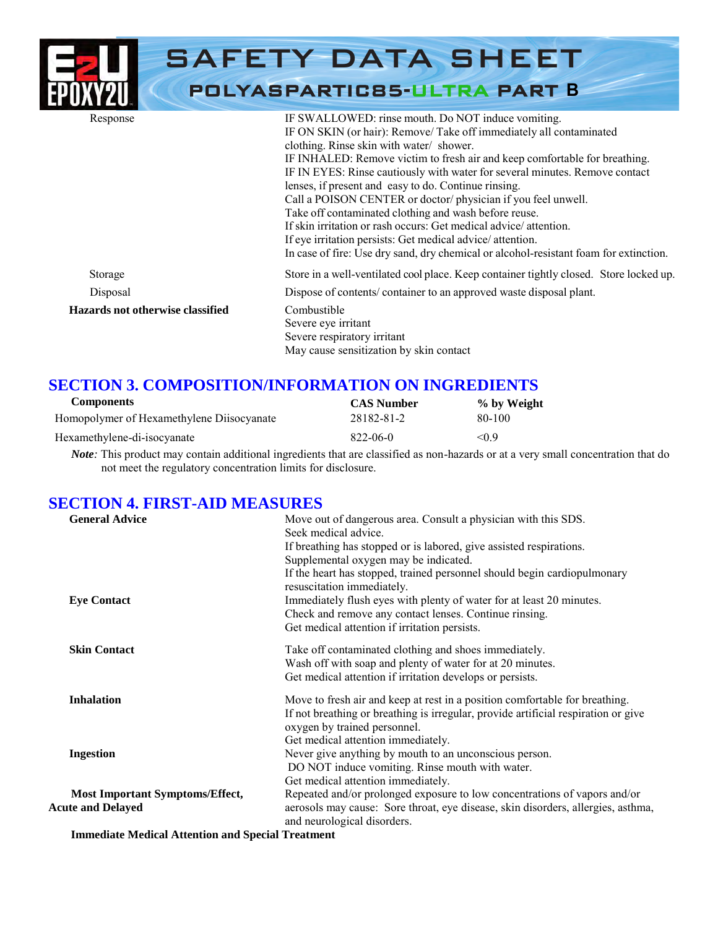|                                  | <b>SAFETY DATA SHEET</b><br><b>POLYASPARTIC85-ULTRA PART B</b>                                                                                                                                                                                                                                                                                                                                                                                                                                                                                                                                                                                                                                                                                |
|----------------------------------|-----------------------------------------------------------------------------------------------------------------------------------------------------------------------------------------------------------------------------------------------------------------------------------------------------------------------------------------------------------------------------------------------------------------------------------------------------------------------------------------------------------------------------------------------------------------------------------------------------------------------------------------------------------------------------------------------------------------------------------------------|
| Response                         | IF SWALLOWED: rinse mouth. Do NOT induce vomiting.<br>IF ON SKIN (or hair): Remove/ Take off immediately all contaminated<br>clothing. Rinse skin with water/ shower.<br>IF INHALED: Remove victim to fresh air and keep comfortable for breathing.<br>IF IN EYES: Rinse cautiously with water for several minutes. Remove contact<br>lenses, if present and easy to do. Continue rinsing.<br>Call a POISON CENTER or doctor/physician if you feel unwell.<br>Take off contaminated clothing and wash before reuse.<br>If skin irritation or rash occurs: Get medical advice/attention.<br>If eye irritation persists: Get medical advice/attention.<br>In case of fire: Use dry sand, dry chemical or alcohol-resistant foam for extinction. |
| Storage                          | Store in a well-ventilated cool place. Keep container tightly closed. Store locked up.                                                                                                                                                                                                                                                                                                                                                                                                                                                                                                                                                                                                                                                        |
| Disposal                         | Dispose of contents/container to an approved waste disposal plant.                                                                                                                                                                                                                                                                                                                                                                                                                                                                                                                                                                                                                                                                            |
| Hazards not otherwise classified | Combustible<br>Severe eye irritant<br>Severe respiratory irritant<br>May cause sensitization by skin contact                                                                                                                                                                                                                                                                                                                                                                                                                                                                                                                                                                                                                                  |

# **SECTION 3. COMPOSITION/INFORMATION ON INGREDIENTS**

| Components                                | <b>CAS Number</b> | % by Weight |
|-------------------------------------------|-------------------|-------------|
| Homopolymer of Hexamethylene Diisocyanate | 28182-81-2        | 80-100      |
| Hexamethylene-di-isocyanate               | 822-06-0          | < 0.9       |

 *Note:* This product may contain additional ingredients that are classified as non-hazards or at a very small concentration that do not meet the regulatory concentration limits for disclosure.

### **SECTION 4. FIRST-AID MEASURES**

| <b>General Advice</b>                  | Move out of dangerous area. Consult a physician with this SDS.<br>Seek medical advice.                          |
|----------------------------------------|-----------------------------------------------------------------------------------------------------------------|
|                                        | If breathing has stopped or is labored, give assisted respirations.                                             |
|                                        | Supplemental oxygen may be indicated.                                                                           |
|                                        | If the heart has stopped, trained personnel should begin cardiopulmonary<br>resuscitation immediately.          |
| <b>Eye Contact</b>                     | Immediately flush eyes with plenty of water for at least 20 minutes.                                            |
|                                        | Check and remove any contact lenses. Continue rinsing.                                                          |
|                                        | Get medical attention if irritation persists.                                                                   |
| <b>Skin Contact</b>                    | Take off contaminated clothing and shoes immediately.                                                           |
|                                        | Wash off with soap and plenty of water for at 20 minutes.                                                       |
|                                        | Get medical attention if irritation develops or persists.                                                       |
| <b>Inhalation</b>                      | Move to fresh air and keep at rest in a position comfortable for breathing.                                     |
|                                        | If not breathing or breathing is irregular, provide artificial respiration or give                              |
|                                        | oxygen by trained personnel.                                                                                    |
|                                        | Get medical attention immediately.                                                                              |
| <b>Ingestion</b>                       | Never give anything by mouth to an unconscious person.                                                          |
|                                        | DO NOT induce vomiting. Rinse mouth with water.                                                                 |
|                                        | Get medical attention immediately.                                                                              |
| <b>Most Important Symptoms/Effect,</b> | Repeated and/or prolonged exposure to low concentrations of vapors and/or                                       |
| <b>Acute and Delayed</b>               | aerosols may cause: Sore throat, eye disease, skin disorders, allergies, asthma,<br>and neurological disorders. |

**Immediate Medical Attention and Special Treatment**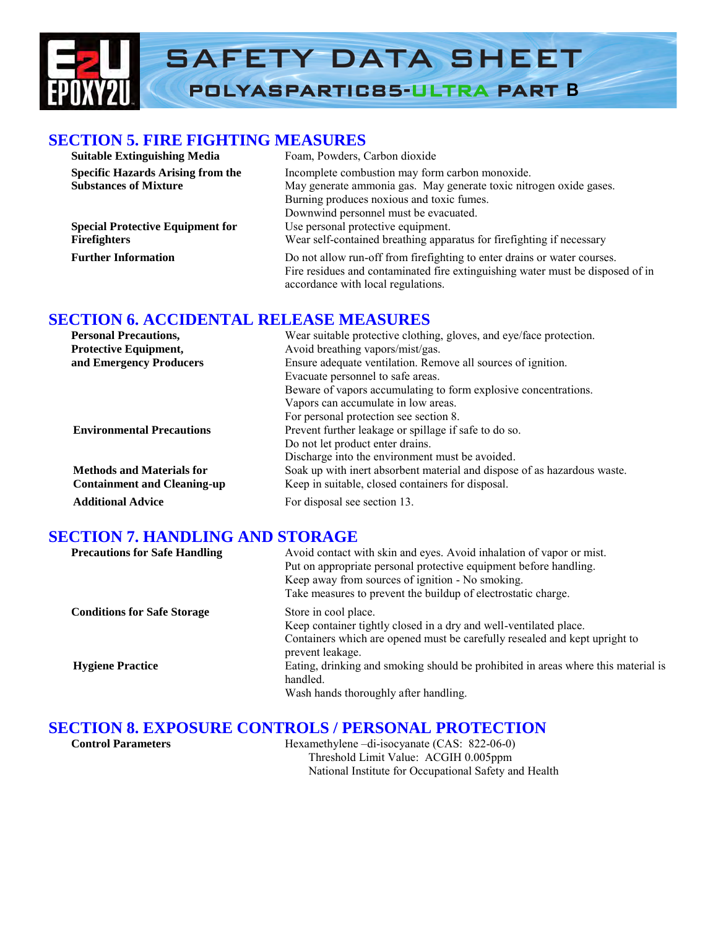# SAFETY DATA SHEET POLYASPARTIC85-ULTRA PART **B**

### **SECTION 5. FIRE FIGHTING MEASURES**

| <b>Suitable Extinguishing Media</b>      | Foam, Powders, Carbon dioxide                                                                                                                                                                    |  |
|------------------------------------------|--------------------------------------------------------------------------------------------------------------------------------------------------------------------------------------------------|--|
| <b>Specific Hazards Arising from the</b> | Incomplete combustion may form carbon monoxide.                                                                                                                                                  |  |
| <b>Substances of Mixture</b>             | May generate ammonia gas. May generate toxic nitrogen oxide gases.                                                                                                                               |  |
|                                          | Burning produces noxious and toxic fumes.                                                                                                                                                        |  |
|                                          | Downwind personnel must be evacuated.                                                                                                                                                            |  |
| <b>Special Protective Equipment for</b>  | Use personal protective equipment.                                                                                                                                                               |  |
| <b>Firefighters</b>                      | Wear self-contained breathing apparatus for firefighting if necessary                                                                                                                            |  |
| <b>Further Information</b>               | Do not allow run-off from firefighting to enter drains or water courses.<br>Fire residues and contaminated fire extinguishing water must be disposed of in<br>accordance with local regulations. |  |

# **SECTION 6. ACCIDENTAL RELEASE MEASURES**

| <b>Personal Precautions,</b>       | Wear suitable protective clothing, gloves, and eye/face protection.      |  |
|------------------------------------|--------------------------------------------------------------------------|--|
| <b>Protective Equipment,</b>       | Avoid breathing vapors/mist/gas.                                         |  |
| and Emergency Producers            | Ensure adequate ventilation. Remove all sources of ignition.             |  |
|                                    | Evacuate personnel to safe areas.                                        |  |
|                                    | Beware of vapors accumulating to form explosive concentrations.          |  |
|                                    | Vapors can accumulate in low areas.                                      |  |
|                                    | For personal protection see section 8.                                   |  |
| <b>Environmental Precautions</b>   | Prevent further leakage or spillage if safe to do so.                    |  |
|                                    | Do not let product enter drains.                                         |  |
|                                    | Discharge into the environment must be avoided.                          |  |
| <b>Methods and Materials for</b>   | Soak up with inert absorbent material and dispose of as hazardous waste. |  |
| <b>Containment and Cleaning-up</b> | Keep in suitable, closed containers for disposal.                        |  |
| <b>Additional Advice</b>           | For disposal see section 13.                                             |  |

# **SECTION 7. HANDLING AND STORAGE**

| <b>Precautions for Safe Handling</b> | Avoid contact with skin and eyes. Avoid inhalation of vapor or mist.<br>Put on appropriate personal protective equipment before handling.<br>Keep away from sources of ignition - No smoking.<br>Take measures to prevent the buildup of electrostatic charge. |
|--------------------------------------|----------------------------------------------------------------------------------------------------------------------------------------------------------------------------------------------------------------------------------------------------------------|
| <b>Conditions for Safe Storage</b>   | Store in cool place.<br>Keep container tightly closed in a dry and well-ventilated place.<br>Containers which are opened must be carefully resealed and kept upright to<br>prevent leakage.                                                                    |
| <b>Hygiene Practice</b>              | Eating, drinking and smoking should be prohibited in areas where this material is<br>handled.<br>Wash hands thoroughly after handling.                                                                                                                         |

# **SECTION 8. EXPOSURE CONTROLS / PERSONAL PROTECTION**

| Hexamethylene $-di$ -isocyanate (CAS: 822-06-0)       |
|-------------------------------------------------------|
| Threshold Limit Value: ACGIH 0.005ppm                 |
| National Institute for Occupational Safety and Health |
|                                                       |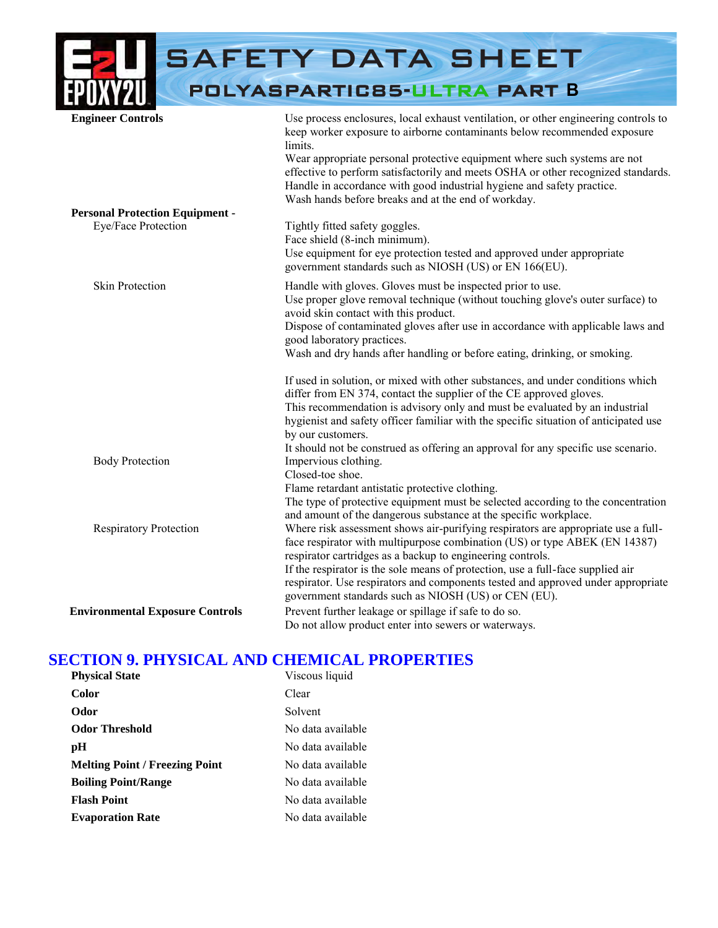|                                        | <b>SAFETY DATA SHEET</b>                                                                                                                                                                                                                                                                                                                                                                                                                                                      |
|----------------------------------------|-------------------------------------------------------------------------------------------------------------------------------------------------------------------------------------------------------------------------------------------------------------------------------------------------------------------------------------------------------------------------------------------------------------------------------------------------------------------------------|
|                                        | POLYASPARTIC85-ULTRA PART B                                                                                                                                                                                                                                                                                                                                                                                                                                                   |
| <b>Engineer Controls</b>               | Use process enclosures, local exhaust ventilation, or other engineering controls to<br>keep worker exposure to airborne contaminants below recommended exposure<br>limits.<br>Wear appropriate personal protective equipment where such systems are not<br>effective to perform satisfactorily and meets OSHA or other recognized standards.<br>Handle in accordance with good industrial hygiene and safety practice.<br>Wash hands before breaks and at the end of workday. |
| <b>Personal Protection Equipment -</b> |                                                                                                                                                                                                                                                                                                                                                                                                                                                                               |
| Eye/Face Protection                    | Tightly fitted safety goggles.<br>Face shield (8-inch minimum).<br>Use equipment for eye protection tested and approved under appropriate<br>government standards such as NIOSH (US) or EN 166(EU).                                                                                                                                                                                                                                                                           |
| <b>Skin Protection</b>                 | Handle with gloves. Gloves must be inspected prior to use.<br>Use proper glove removal technique (without touching glove's outer surface) to<br>avoid skin contact with this product.<br>Dispose of contaminated gloves after use in accordance with applicable laws and<br>good laboratory practices.<br>Wash and dry hands after handling or before eating, drinking, or smoking.                                                                                           |
|                                        | If used in solution, or mixed with other substances, and under conditions which<br>differ from EN 374, contact the supplier of the CE approved gloves.<br>This recommendation is advisory only and must be evaluated by an industrial<br>hygienist and safety officer familiar with the specific situation of anticipated use<br>by our customers.<br>It should not be construed as offering an approval for any specific use scenario.                                       |
| <b>Body Protection</b>                 | Impervious clothing.<br>Closed-toe shoe.<br>Flame retardant antistatic protective clothing.<br>The type of protective equipment must be selected according to the concentration<br>and amount of the dangerous substance at the specific workplace.                                                                                                                                                                                                                           |
| <b>Respiratory Protection</b>          | Where risk assessment shows air-purifying respirators are appropriate use a full-<br>face respirator with multipurpose combination (US) or type ABEK (EN 14387)<br>respirator cartridges as a backup to engineering controls.<br>If the respirator is the sole means of protection, use a full-face supplied air<br>respirator. Use respirators and components tested and approved under appropriate<br>government standards such as NIOSH (US) or CEN (EU).                  |
| <b>Environmental Exposure Controls</b> | Prevent further leakage or spillage if safe to do so.<br>Do not allow product enter into sewers or waterways.                                                                                                                                                                                                                                                                                                                                                                 |

# **SECTION 9. PHYSICAL AND CHEMICAL PROPERTIES**

| <b>Physical State</b>                 | Viscous liquid    |
|---------------------------------------|-------------------|
| <b>Color</b>                          | Clear             |
| Odor                                  | Solvent           |
| <b>Odor Threshold</b>                 | No data available |
| pH                                    | No data available |
| <b>Melting Point / Freezing Point</b> | No data available |
| <b>Boiling Point/Range</b>            | No data available |
| <b>Flash Point</b>                    | No data available |
| <b>Evaporation Rate</b>               | No data available |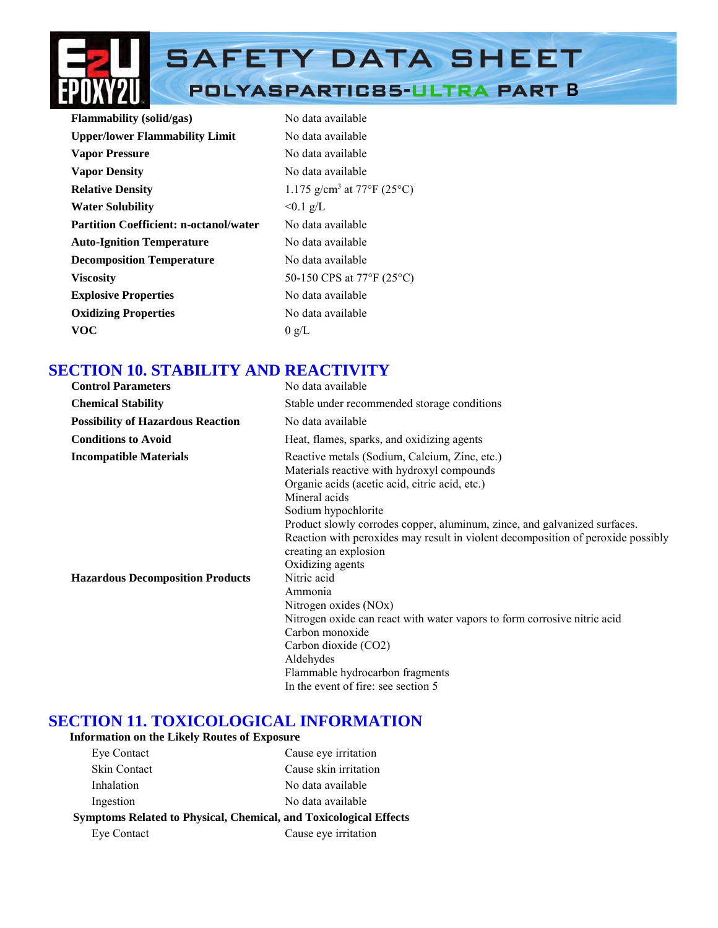

| <b>Flammability</b> (solid/gas)               | No data available                      |
|-----------------------------------------------|----------------------------------------|
| <b>Upper/lower Flammability Limit</b>         | No data available                      |
| <b>Vapor Pressure</b>                         | No data available                      |
| <b>Vapor Density</b>                          | No data available                      |
| <b>Relative Density</b>                       | 1.175 g/cm <sup>3</sup> at 77°F (25°C) |
| <b>Water Solubility</b>                       | $< 0.1$ g/L                            |
| <b>Partition Coefficient: n-octanol/water</b> | No data available                      |
| <b>Auto-Ignition Temperature</b>              | No data available                      |
| <b>Decomposition Temperature</b>              | No data available                      |
| <b>Viscosity</b>                              | 50-150 CPS at 77°F (25°C)              |
| <b>Explosive Properties</b>                   | No data available                      |
| <b>Oxidizing Properties</b>                   | No data available                      |
| <b>VOC</b>                                    | 0 g/L                                  |

# **SECTION 10. STABILITY AND REACTIVITY**

| <b>Control Parameters</b>                                                | No data available                                                                                                                                                                                                                                                                                                                                                                                                                                                                                                                  |
|--------------------------------------------------------------------------|------------------------------------------------------------------------------------------------------------------------------------------------------------------------------------------------------------------------------------------------------------------------------------------------------------------------------------------------------------------------------------------------------------------------------------------------------------------------------------------------------------------------------------|
| <b>Chemical Stability</b>                                                | Stable under recommended storage conditions                                                                                                                                                                                                                                                                                                                                                                                                                                                                                        |
| <b>Possibility of Hazardous Reaction</b>                                 | No data available                                                                                                                                                                                                                                                                                                                                                                                                                                                                                                                  |
| <b>Conditions to Avoid</b>                                               | Heat, flames, sparks, and oxidizing agents                                                                                                                                                                                                                                                                                                                                                                                                                                                                                         |
| <b>Incompatible Materials</b><br><b>Hazardous Decomposition Products</b> | Reactive metals (Sodium, Calcium, Zinc, etc.)<br>Materials reactive with hydroxyl compounds<br>Organic acids (acetic acid, citric acid, etc.)<br>Mineral acids<br>Sodium hypochlorite<br>Product slowly corrodes copper, aluminum, zince, and galvanized surfaces.<br>Reaction with peroxides may result in violent decomposition of peroxide possibly<br>creating an explosion<br>Oxidizing agents<br>Nitric acid<br>Ammonia<br>Nitrogen oxides (NOx)<br>Nitrogen oxide can react with water vapors to form corrosive nitric acid |
|                                                                          | Carbon monoxide<br>Carbon dioxide (CO2)<br>Aldehydes<br>Flammable hydrocarbon fragments                                                                                                                                                                                                                                                                                                                                                                                                                                            |
|                                                                          | In the event of fire: see section 5                                                                                                                                                                                                                                                                                                                                                                                                                                                                                                |

# **SECTION 11. TOXICOLOGICAL INFORMATION**

#### **Information on the Likely Routes of Exposure**

| Eye Contact         | Cause eye irritation                                                     |
|---------------------|--------------------------------------------------------------------------|
| <b>Skin Contact</b> | Cause skin irritation                                                    |
| Inhalation          | No data available                                                        |
| Ingestion           | No data available                                                        |
|                     | <b>Symptoms Related to Physical, Chemical, and Toxicological Effects</b> |
| Eye Contact         | Cause eye irritation                                                     |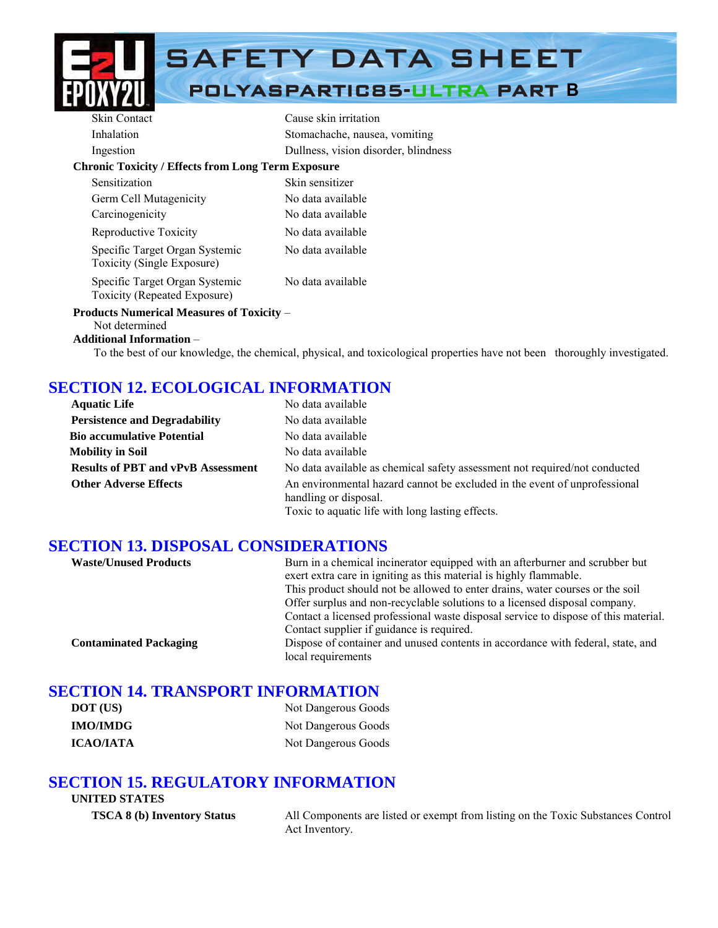

# SAFETY DATA SHEET

# POLYASPARTIC85-ULTRA PART **B**

| <b>Skin Contact</b>                                            | Cause skin irritation                |
|----------------------------------------------------------------|--------------------------------------|
| Inhalation                                                     | Stomachache, nausea, vomiting        |
| Ingestion                                                      | Dullness, vision disorder, blindness |
| <b>Chronic Toxicity / Effects from Long Term Exposure</b>      |                                      |
| Sensitization                                                  | Skin sensitizer                      |
| Germ Cell Mutagenicity                                         | No data available                    |
| Carcinogenicity                                                | No data available                    |
| Reproductive Toxicity                                          | No data available                    |
| Specific Target Organ Systemic<br>Toxicity (Single Exposure)   | No data available                    |
| Specific Target Organ Systemic<br>Toxicity (Repeated Exposure) | No data available                    |
| <b>Products Numerical Measures of Toxicity –</b>               |                                      |
|                                                                |                                      |

# Not determined

#### **Additional Information** –

To the best of our knowledge, the chemical, physical, and toxicological properties have not been thoroughly investigated.

# **SECTION 12. ECOLOGICAL INFORMATION**

| <b>Aquatic Life</b>                       | No data available                                                                                                                                      |
|-------------------------------------------|--------------------------------------------------------------------------------------------------------------------------------------------------------|
| <b>Persistence and Degradability</b>      | No data available                                                                                                                                      |
| <b>Bio accumulative Potential</b>         | No data available                                                                                                                                      |
| <b>Mobility in Soil</b>                   | No data available                                                                                                                                      |
| <b>Results of PBT and vPvB Assessment</b> | No data available as chemical safety assessment not required/not conducted                                                                             |
| <b>Other Adverse Effects</b>              | An environmental hazard cannot be excluded in the event of unprofessional<br>handling or disposal.<br>Toxic to aquatic life with long lasting effects. |

# **SECTION 13. DISPOSAL CONSIDERATIONS**

| <b>Waste/Unused Products</b>  | Burn in a chemical incinerator equipped with an afterburner and scrubber but<br>exert extra care in igniting as this material is highly flammable.<br>This product should not be allowed to enter drains, water courses or the soil<br>Offer surplus and non-recyclable solutions to a licensed disposal company. |
|-------------------------------|-------------------------------------------------------------------------------------------------------------------------------------------------------------------------------------------------------------------------------------------------------------------------------------------------------------------|
| <b>Contaminated Packaging</b> | Contact a licensed professional waste disposal service to dispose of this material.<br>Contact supplier if guidance is required.<br>Dispose of container and unused contents in accordance with federal, state, and<br>local requirements                                                                         |

# **SECTION 14. TRANSPORT INFORMATION**

| DOT (US)         | Not Dangerous Goods |
|------------------|---------------------|
| <b>IMO/IMDG</b>  | Not Dangerous Goods |
| <b>ICAO/IATA</b> | Not Dangerous Goods |

# **SECTION 15. REGULATORY INFORMATION**

#### **UNITED STATES**

**TSCA 8 (b) Inventory Status** All Components are listed or exempt from listing on the Toxic Substances Control Act Inventory.